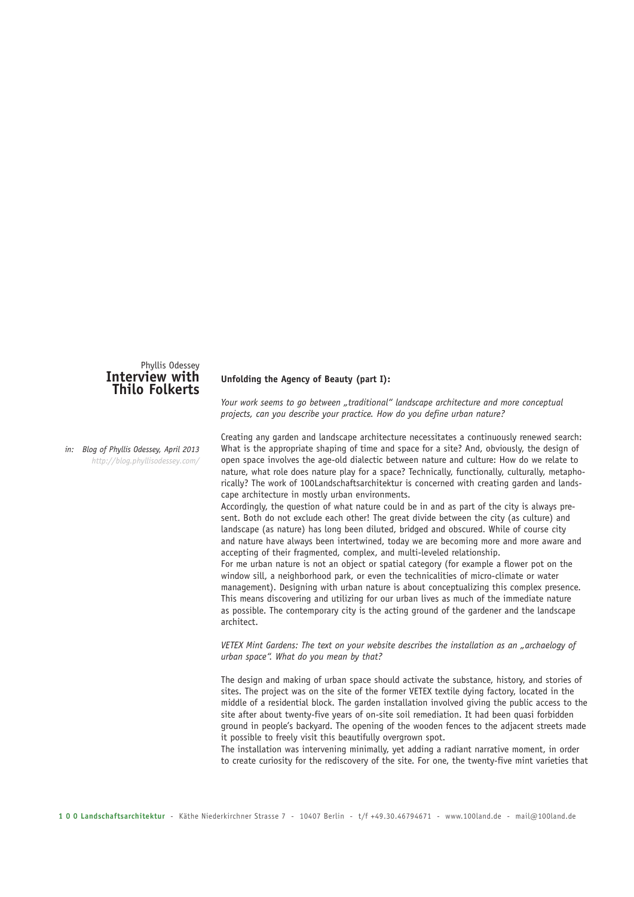## Phyllis Odessey **Interview with Thilo Folkerts**

*in: Blog of Phyllis Odessey, April 2013 http://blog.phyllisodessey.com/*

## **Unfolding the Agency of Beauty (part I):**

*Your work seems to go between "traditional" landscape architecture and more conceptual projects, can you describe your practice. How do you define urban nature?*

Creating any garden and landscape architecture necessitates a continuously renewed search: What is the appropriate shaping of time and space for a site? And, obviously, the design of open space involves the age-old dialectic between nature and culture: How do we relate to nature, what role does nature play for a space? Technically, functionally, culturally, metaphorically? The work of 100Landschaftsarchitektur is concerned with creating garden and landscape architecture in mostly urban environments.

Accordingly, the question of what nature could be in and as part of the city is always present. Both do not exclude each other! The great divide between the city (as culture) and landscape (as nature) has long been diluted, bridged and obscured. While of course city and nature have always been intertwined, today we are becoming more and more aware and accepting of their fragmented, complex, and multi-leveled relationship.

For me urban nature is not an object or spatial category (for example a flower pot on the window sill, a neighborhood park, or even the technicalities of micro-climate or water management). Designing with urban nature is about conceptualizing this complex presence. This means discovering and utilizing for our urban lives as much of the immediate nature as possible. The contemporary city is the acting ground of the gardener and the landscape architect.

*VETEX Mint Gardens: The text on your website describes the installation as an "archaelogy of urban space". What do you mean by that?*

The design and making of urban space should activate the substance, history, and stories of sites. The project was on the site of the former VETEX textile dying factory, located in the middle of a residential block. The garden installation involved giving the public access to the site after about twenty-five years of on-site soil remediation. It had been quasi forbidden ground in people's backyard. The opening of the wooden fences to the adjacent streets made it possible to freely visit this beautifully overgrown spot.

The installation was intervening minimally, yet adding a radiant narrative moment, in order to create curiosity for the rediscovery of the site. For one, the twenty-five mint varieties that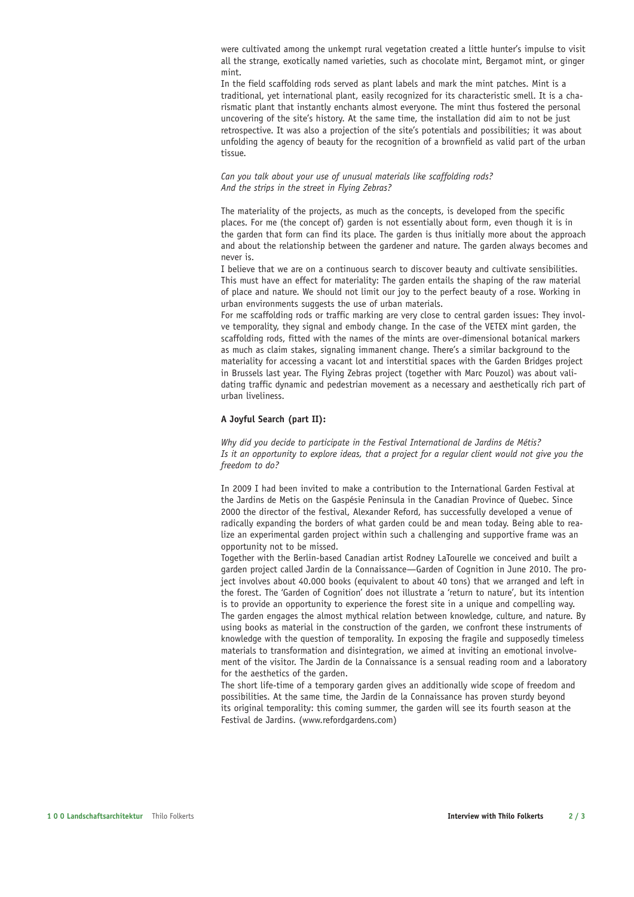were cultivated among the unkempt rural vegetation created a little hunter's impulse to visit all the strange, exotically named varieties, such as chocolate mint, Bergamot mint, or ginger mint.

In the field scaffolding rods served as plant labels and mark the mint patches. Mint is a traditional, yet international plant, easily recognized for its characteristic smell. It is a charismatic plant that instantly enchants almost everyone. The mint thus fostered the personal uncovering of the site's history. At the same time, the installation did aim to not be just retrospective. It was also a projection of the site's potentials and possibilities; it was about unfolding the agency of beauty for the recognition of a brownfield as valid part of the urban tissue.

## *Can you talk about your use of unusual materials like scaffolding rods? And the strips in the street in Flying Zebras?*

The materiality of the projects, as much as the concepts, is developed from the specific places. For me (the concept of) garden is not essentially about form, even though it is in the garden that form can find its place. The garden is thus initially more about the approach and about the relationship between the gardener and nature. The garden always becomes and never is.

I believe that we are on a continuous search to discover beauty and cultivate sensibilities. This must have an effect for materiality: The garden entails the shaping of the raw material of place and nature. We should not limit our joy to the perfect beauty of a rose. Working in urban environments suggests the use of urban materials.

For me scaffolding rods or traffic marking are very close to central garden issues: They involve temporality, they signal and embody change. In the case of the VETEX mint garden, the scaffolding rods, fitted with the names of the mints are over-dimensional botanical markers as much as claim stakes, signaling immanent change. There's a similar background to the materiality for accessing a vacant lot and interstitial spaces with the Garden Bridges project in Brussels last year. The Flying Zebras project (together with Marc Pouzol) was about validating traffic dynamic and pedestrian movement as a necessary and aesthetically rich part of urban liveliness.

## **A Joyful Search (part II):**

*Why did you decide to participate in the Festival International de Jardins de Métis? Is it an opportunity to explore ideas, that a project for a regular client would not give you the freedom to do?*

In 2009 I had been invited to make a contribution to the International Garden Festival at the Jardins de Metis on the Gaspésie Peninsula in the Canadian Province of Quebec. Since 2000 the director of the festival, Alexander Reford, has successfully developed a venue of radically expanding the borders of what garden could be and mean today. Being able to realize an experimental garden project within such a challenging and supportive frame was an opportunity not to be missed.

Together with the Berlin-based Canadian artist Rodney LaTourelle we conceived and built a garden project called Jardin de la Connaissance—Garden of Cognition in June 2010. The project involves about 40.000 books (equivalent to about 40 tons) that we arranged and left in the forest. The 'Garden of Cognition' does not illustrate a 'return to nature', but its intention is to provide an opportunity to experience the forest site in a unique and compelling way. The garden engages the almost mythical relation between knowledge, culture, and nature. By using books as material in the construction of the garden, we confront these instruments of knowledge with the question of temporality. In exposing the fragile and supposedly timeless materials to transformation and disintegration, we aimed at inviting an emotional involvement of the visitor. The Jardin de la Connaissance is a sensual reading room and a laboratory for the aesthetics of the garden.

The short life-time of a temporary garden gives an additionally wide scope of freedom and possibilities. At the same time, the Jardin de la Connaissance has proven sturdy beyond its original temporality: this coming summer, the garden will see its fourth season at the Festival de Jardins. (www.refordgardens.com)